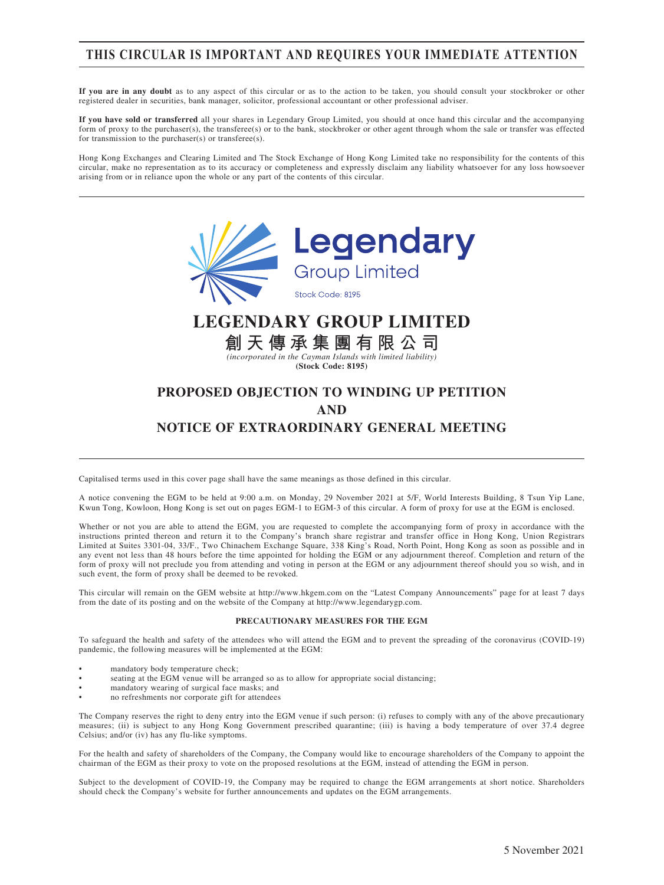### **THIS CIRCULAR IS IMPORTANT AND REQUIRES YOUR IMMEDIATE ATTENTION**

**If you are in any doubt** as to any aspect of this circular or as to the action to be taken, you should consult your stockbroker or other registered dealer in securities, bank manager, solicitor, professional accountant or other professional adviser.

**If you have sold or transferred** all your shares in Legendary Group Limited, you should at once hand this circular and the accompanying form of proxy to the purchaser(s), the transferee(s) or to the bank, stockbroker or other agent through whom the sale or transfer was effected for transmission to the purchaser(s) or transferee(s).

Hong Kong Exchanges and Clearing Limited and The Stock Exchange of Hong Kong Limited take no responsibility for the contents of this circular, make no representation as to its accuracy or completeness and expressly disclaim any liability whatsoever for any loss howsoever arising from or in reliance upon the whole or any part of the contents of this circular.



**(Stock Code: 8195)**

### **PROPOSED OBJECTION TO WINDING UP PETITION AND NOTICE OF EXTRAORDINARY GENERAL MEETING**

Capitalised terms used in this cover page shall have the same meanings as those defined in this circular.

A notice convening the EGM to be held at 9:00 a.m. on Monday, 29 November 2021 at 5/F, World Interests Building, 8 Tsun Yip Lane, Kwun Tong, Kowloon, Hong Kong is set out on pages EGM-1 to EGM-3 of this circular. A form of proxy for use at the EGM is enclosed.

Whether or not you are able to attend the EGM, you are requested to complete the accompanying form of proxy in accordance with the instructions printed thereon and return it to the Company's branch share registrar and transfer office in Hong Kong, Union Registrars Limited at Suites 3301-04, 33/F., Two Chinachem Exchange Square, 338 King's Road, North Point, Hong Kong as soon as possible and in any event not less than 48 hours before the time appointed for holding the EGM or any adjournment thereof. Completion and return of the form of proxy will not preclude you from attending and voting in person at the EGM or any adjournment thereof should you so wish, and in such event, the form of proxy shall be deemed to be revoked.

This circular will remain on the GEM website at http://www.hkgem.com on the "Latest Company Announcements" page for at least 7 days from the date of its posting and on the website of the Company at http://www.legendarygp.com.

#### **PRECAUTIONARY MEASURES FOR THE EGM**

To safeguard the health and safety of the attendees who will attend the EGM and to prevent the spreading of the coronavirus (COVID-19) pandemic, the following measures will be implemented at the EGM:

- mandatory body temperature check;
- seating at the EGM venue will be arranged so as to allow for appropriate social distancing;
- mandatory wearing of surgical face masks; and
- no refreshments nor corporate gift for attendees

The Company reserves the right to deny entry into the EGM venue if such person: (i) refuses to comply with any of the above precautionary measures; (ii) is subject to any Hong Kong Government prescribed quarantine; (iii) is having a body temperature of over 37.4 degree Celsius; and/or (iv) has any flu-like symptoms.

For the health and safety of shareholders of the Company, the Company would like to encourage shareholders of the Company to appoint the chairman of the EGM as their proxy to vote on the proposed resolutions at the EGM, instead of attending the EGM in person.

Subject to the development of COVID-19, the Company may be required to change the EGM arrangements at short notice. Shareholders should check the Company's website for further announcements and updates on the EGM arrangements.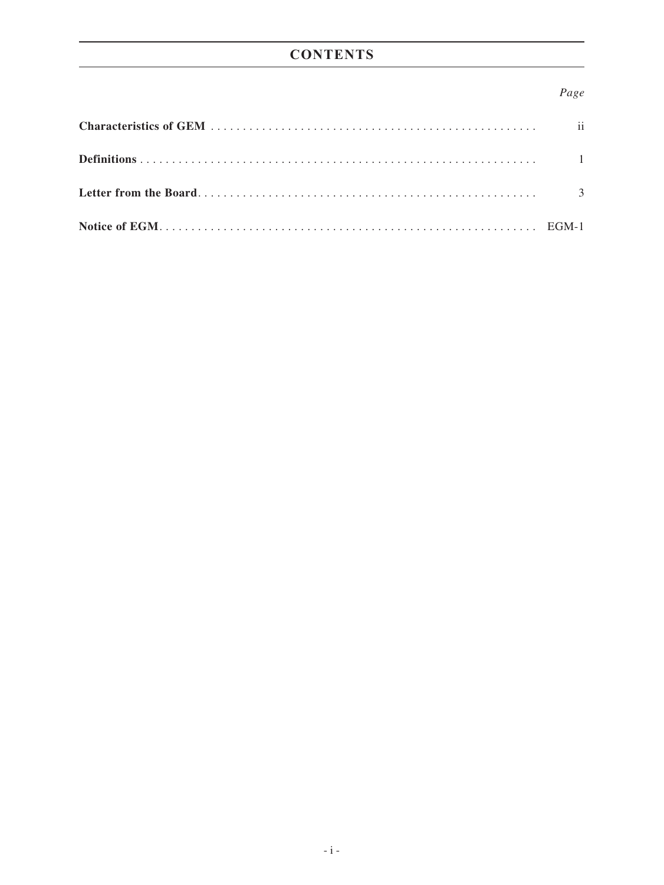# **CONTENTS**

#### *Page*

| $\overline{\mathbf{u}}$  |
|--------------------------|
|                          |
| $\overline{\mathcal{E}}$ |
|                          |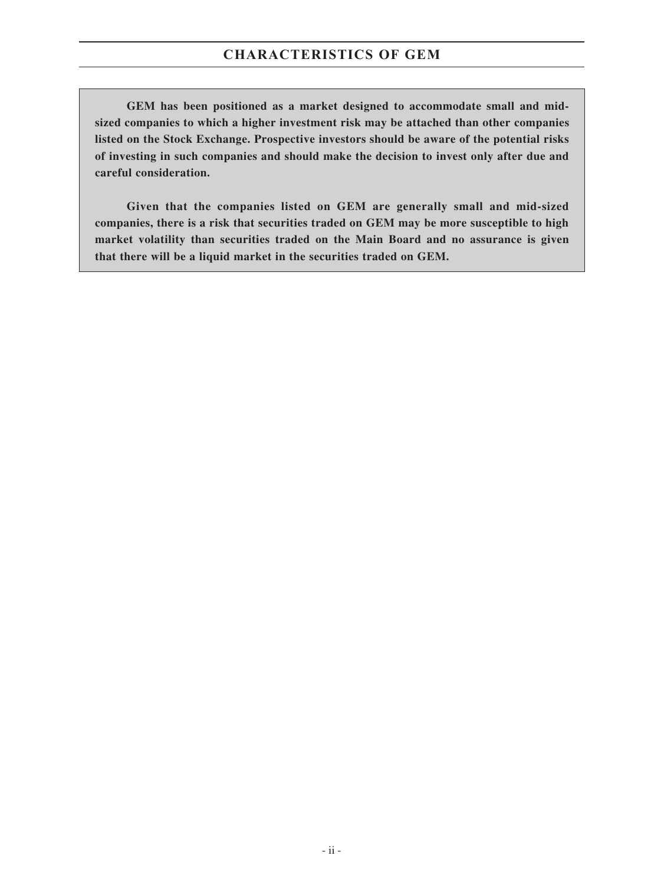**GEM has been positioned as a market designed to accommodate small and midsized companies to which a higher investment risk may be attached than other companies listed on the Stock Exchange. Prospective investors should be aware of the potential risks of investing in such companies and should make the decision to invest only after due and careful consideration.**

**Given that the companies listed on GEM are generally small and mid-sized companies, there is a risk that securities traded on GEM may be more susceptible to high market volatility than securities traded on the Main Board and no assurance is given that there will be a liquid market in the securities traded on GEM.**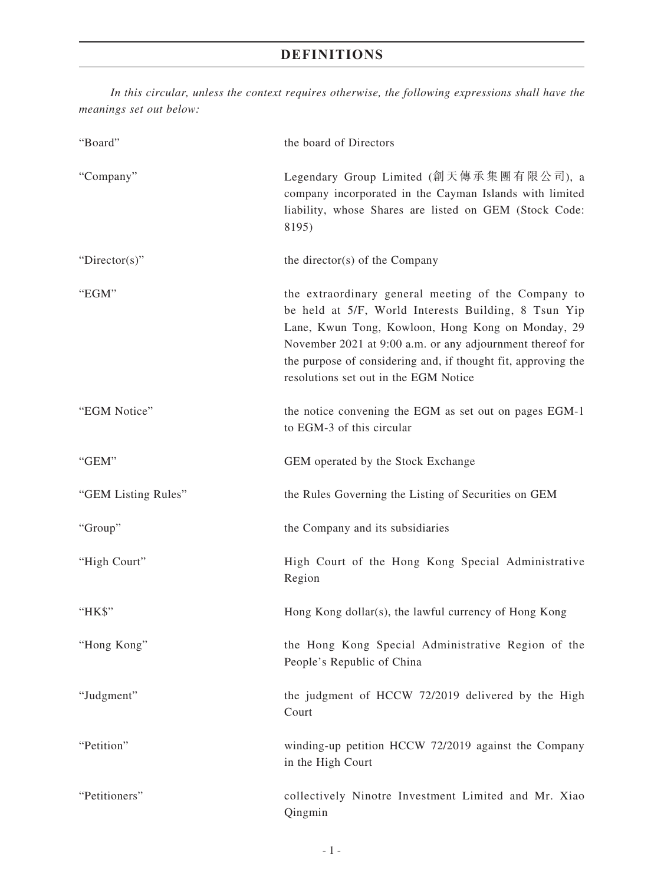## **DEFINITIONS**

*In this circular, unless the context requires otherwise, the following expressions shall have the meanings set out below:*

| "Board"             | the board of Directors                                                                                                                                                                                                                                                                                                                  |
|---------------------|-----------------------------------------------------------------------------------------------------------------------------------------------------------------------------------------------------------------------------------------------------------------------------------------------------------------------------------------|
| "Company"           | Legendary Group Limited (創天傳承集團有限公司), a<br>company incorporated in the Cayman Islands with limited<br>liability, whose Shares are listed on GEM (Stock Code:<br>8195)                                                                                                                                                                   |
| " $Directory$ "     | the director(s) of the Company                                                                                                                                                                                                                                                                                                          |
| "EGM"               | the extraordinary general meeting of the Company to<br>be held at 5/F, World Interests Building, 8 Tsun Yip<br>Lane, Kwun Tong, Kowloon, Hong Kong on Monday, 29<br>November 2021 at 9:00 a.m. or any adjournment thereof for<br>the purpose of considering and, if thought fit, approving the<br>resolutions set out in the EGM Notice |
| "EGM Notice"        | the notice convening the EGM as set out on pages EGM-1<br>to EGM-3 of this circular                                                                                                                                                                                                                                                     |
| "GEM"               | GEM operated by the Stock Exchange                                                                                                                                                                                                                                                                                                      |
| "GEM Listing Rules" | the Rules Governing the Listing of Securities on GEM                                                                                                                                                                                                                                                                                    |
| "Group"             | the Company and its subsidiaries                                                                                                                                                                                                                                                                                                        |
| "High Court"        | High Court of the Hong Kong Special Administrative<br>Region                                                                                                                                                                                                                                                                            |
| "HK\$"              | Hong Kong dollar(s), the lawful currency of Hong Kong                                                                                                                                                                                                                                                                                   |
| "Hong Kong"         | the Hong Kong Special Administrative Region of the<br>People's Republic of China                                                                                                                                                                                                                                                        |
| "Judgment"          | the judgment of HCCW 72/2019 delivered by the High<br>Court                                                                                                                                                                                                                                                                             |
| "Petition"          | winding-up petition HCCW 72/2019 against the Company<br>in the High Court                                                                                                                                                                                                                                                               |
| "Petitioners"       | collectively Ninotre Investment Limited and Mr. Xiao<br>Qingmin                                                                                                                                                                                                                                                                         |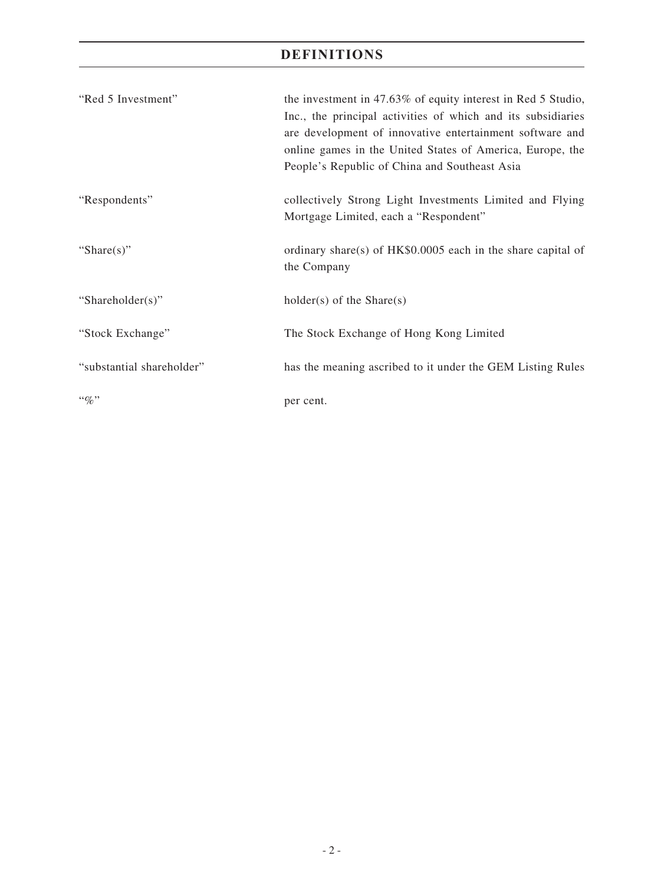# **DEFINITIONS**

| "Red 5 Investment"        | the investment in 47.63% of equity interest in Red 5 Studio,<br>Inc., the principal activities of which and its subsidiaries<br>are development of innovative entertainment software and<br>online games in the United States of America, Europe, the<br>People's Republic of China and Southeast Asia |
|---------------------------|--------------------------------------------------------------------------------------------------------------------------------------------------------------------------------------------------------------------------------------------------------------------------------------------------------|
| "Respondents"             | collectively Strong Light Investments Limited and Flying<br>Mortgage Limited, each a "Respondent"                                                                                                                                                                                                      |
| "Share $(s)$ "            | ordinary share(s) of HK\$0.0005 each in the share capital of<br>the Company                                                                                                                                                                                                                            |
| "Shareholder(s)"          | $holder(s)$ of the Share $(s)$                                                                                                                                                                                                                                                                         |
| "Stock Exchange"          | The Stock Exchange of Hong Kong Limited                                                                                                                                                                                                                                                                |
| "substantial shareholder" | has the meaning ascribed to it under the GEM Listing Rules                                                                                                                                                                                                                                             |
| $``\%"$                   | per cent.                                                                                                                                                                                                                                                                                              |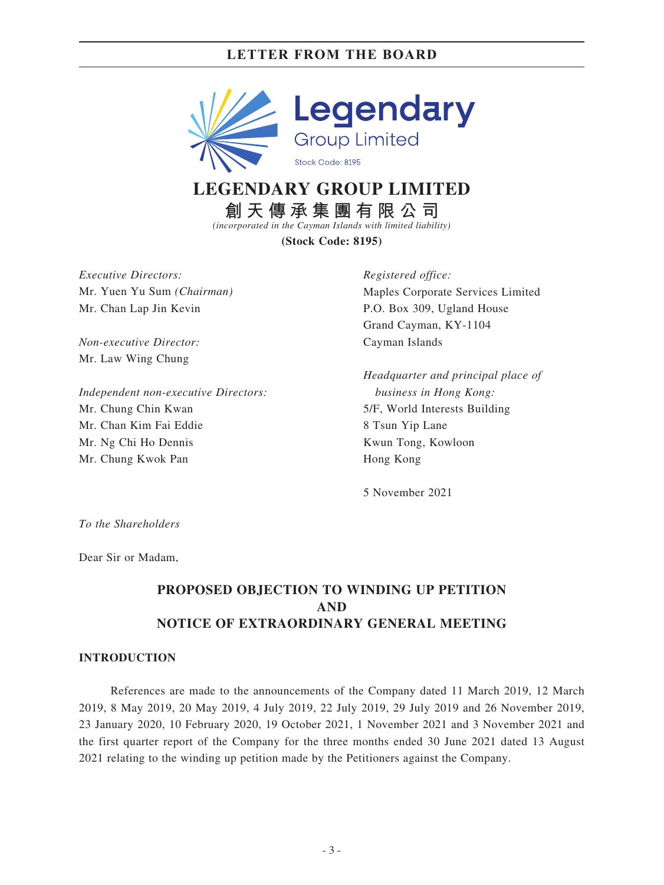

# **LEGENDARY GROUP LIMITED**

**創天傳承集團有限公司**

*(incorporated in the Cayman Islands with limited liability)*

**(Stock Code: 8195)**

*Executive Directors:* Mr. Yuen Yu Sum *(Chairman)* Mr. Chan Lap Jin Kevin

*Non-executive Director:* Mr. Law Wing Chung

*Independent non-executive Directors:* Mr. Chung Chin Kwan Mr. Chan Kim Fai Eddie Mr. Ng Chi Ho Dennis Mr. Chung Kwok Pan

*Registered office:* Maples Corporate Services Limited P.O. Box 309, Ugland House Grand Cayman, KY-1104 Cayman Islands

*Headquarter and principal place of business in Hong Kong:* 5/F, World Interests Building 8 Tsun Yip Lane Kwun Tong, Kowloon Hong Kong

5 November 2021

*To the Shareholders*

Dear Sir or Madam,

### **PROPOSED OBJECTION TO WINDING UP PETITION AND NOTICE OF EXTRAORDINARY GENERAL MEETING**

#### **INTRODUCTION**

References are made to the announcements of the Company dated 11 March 2019, 12 March 2019, 8 May 2019, 20 May 2019, 4 July 2019, 22 July 2019, 29 July 2019 and 26 November 2019, 23 January 2020, 10 February 2020, 19 October 2021, 1 November 2021 and 3 November 2021 and the first quarter report of the Company for the three months ended 30 June 2021 dated 13 August 2021 relating to the winding up petition made by the Petitioners against the Company.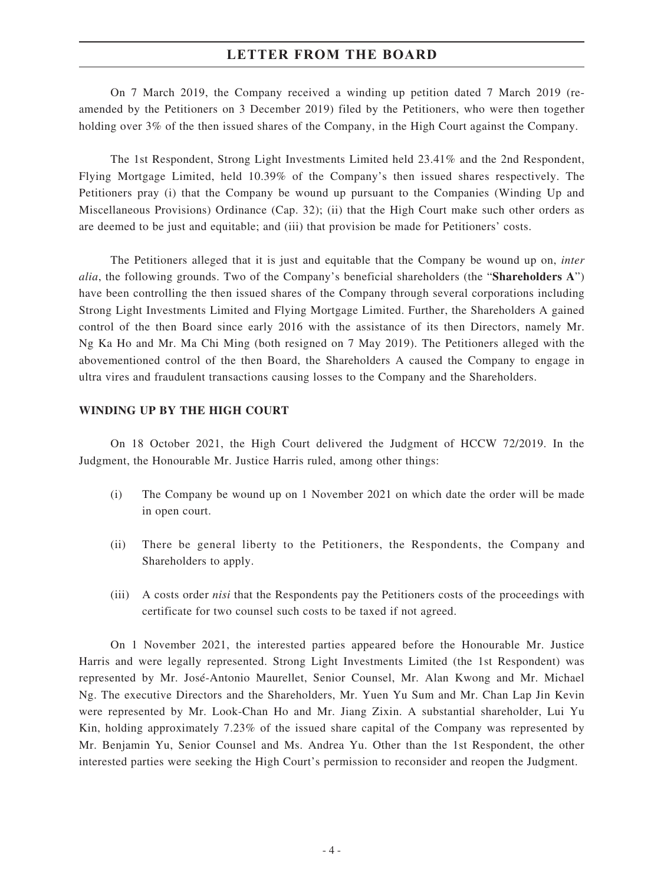On 7 March 2019, the Company received a winding up petition dated 7 March 2019 (reamended by the Petitioners on 3 December 2019) filed by the Petitioners, who were then together holding over 3% of the then issued shares of the Company, in the High Court against the Company.

The 1st Respondent, Strong Light Investments Limited held 23.41% and the 2nd Respondent, Flying Mortgage Limited, held 10.39% of the Company's then issued shares respectively. The Petitioners pray (i) that the Company be wound up pursuant to the Companies (Winding Up and Miscellaneous Provisions) Ordinance (Cap. 32); (ii) that the High Court make such other orders as are deemed to be just and equitable; and (iii) that provision be made for Petitioners' costs.

The Petitioners alleged that it is just and equitable that the Company be wound up on, *inter alia*, the following grounds. Two of the Company's beneficial shareholders (the "**Shareholders A**") have been controlling the then issued shares of the Company through several corporations including Strong Light Investments Limited and Flying Mortgage Limited. Further, the Shareholders A gained control of the then Board since early 2016 with the assistance of its then Directors, namely Mr. Ng Ka Ho and Mr. Ma Chi Ming (both resigned on 7 May 2019). The Petitioners alleged with the abovementioned control of the then Board, the Shareholders A caused the Company to engage in ultra vires and fraudulent transactions causing losses to the Company and the Shareholders.

#### **WINDING UP BY THE HIGH COURT**

On 18 October 2021, the High Court delivered the Judgment of HCCW 72/2019. In the Judgment, the Honourable Mr. Justice Harris ruled, among other things:

- (i) The Company be wound up on 1 November 2021 on which date the order will be made in open court.
- (ii) There be general liberty to the Petitioners, the Respondents, the Company and Shareholders to apply.
- (iii) A costs order *nisi* that the Respondents pay the Petitioners costs of the proceedings with certificate for two counsel such costs to be taxed if not agreed.

On 1 November 2021, the interested parties appeared before the Honourable Mr. Justice Harris and were legally represented. Strong Light Investments Limited (the 1st Respondent) was represented by Mr. José-Antonio Maurellet, Senior Counsel, Mr. Alan Kwong and Mr. Michael Ng. The executive Directors and the Shareholders, Mr. Yuen Yu Sum and Mr. Chan Lap Jin Kevin were represented by Mr. Look-Chan Ho and Mr. Jiang Zixin. A substantial shareholder, Lui Yu Kin, holding approximately 7.23% of the issued share capital of the Company was represented by Mr. Benjamin Yu, Senior Counsel and Ms. Andrea Yu. Other than the 1st Respondent, the other interested parties were seeking the High Court's permission to reconsider and reopen the Judgment.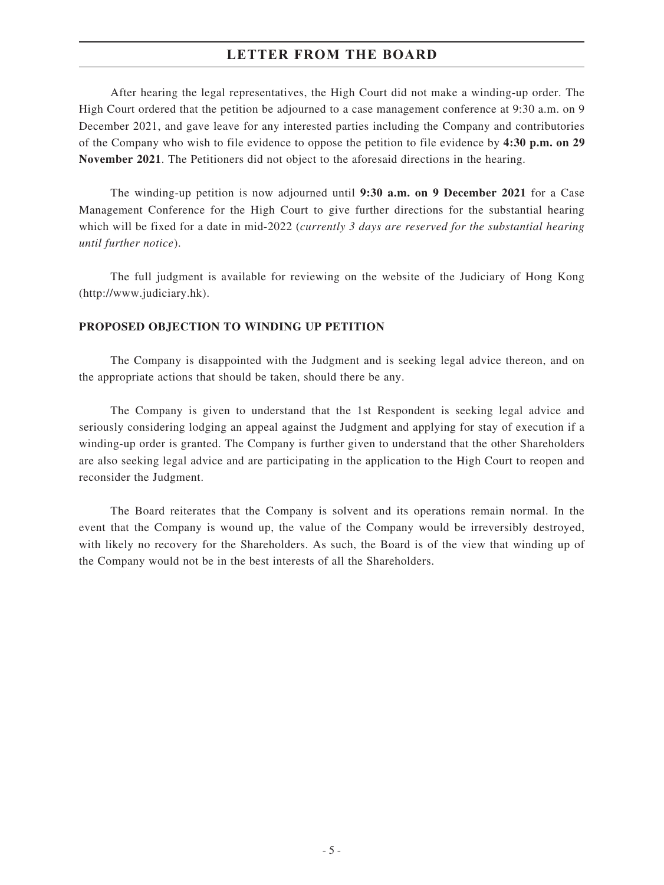After hearing the legal representatives, the High Court did not make a winding-up order. The High Court ordered that the petition be adjourned to a case management conference at 9:30 a.m. on 9 December 2021, and gave leave for any interested parties including the Company and contributories of the Company who wish to file evidence to oppose the petition to file evidence by **4:30 p.m. on 29 November 2021**. The Petitioners did not object to the aforesaid directions in the hearing.

The winding-up petition is now adjourned until **9:30 a.m. on 9 December 2021** for a Case Management Conference for the High Court to give further directions for the substantial hearing which will be fixed for a date in mid-2022 (*currently 3 days are reserved for the substantial hearing until further notice*).

The full judgment is available for reviewing on the website of the Judiciary of Hong Kong (http://www.judiciary.hk).

#### **PROPOSED OBJECTION TO WINDING UP PETITION**

The Company is disappointed with the Judgment and is seeking legal advice thereon, and on the appropriate actions that should be taken, should there be any.

The Company is given to understand that the 1st Respondent is seeking legal advice and seriously considering lodging an appeal against the Judgment and applying for stay of execution if a winding-up order is granted. The Company is further given to understand that the other Shareholders are also seeking legal advice and are participating in the application to the High Court to reopen and reconsider the Judgment.

The Board reiterates that the Company is solvent and its operations remain normal. In the event that the Company is wound up, the value of the Company would be irreversibly destroyed, with likely no recovery for the Shareholders. As such, the Board is of the view that winding up of the Company would not be in the best interests of all the Shareholders.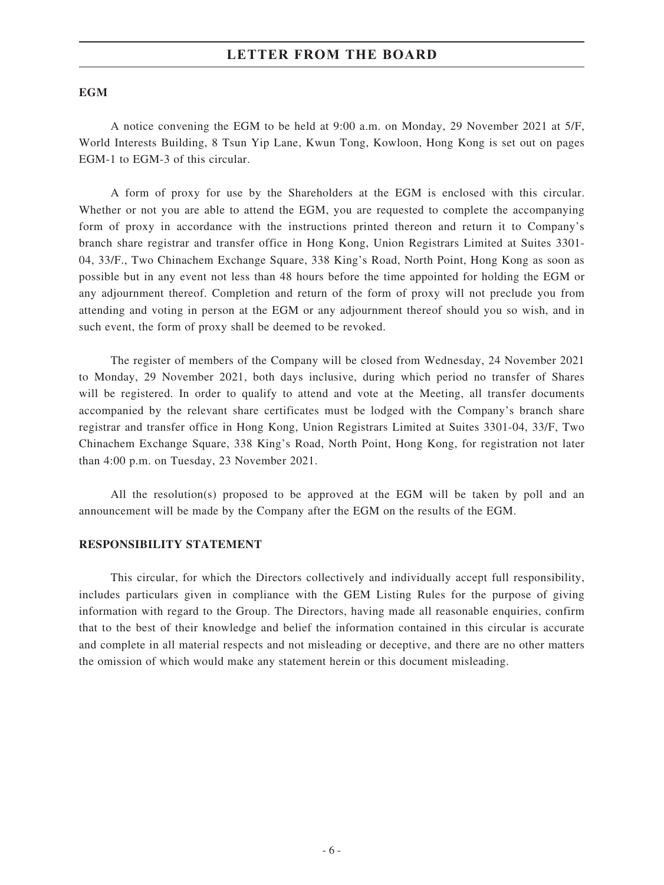#### **EGM**

A notice convening the EGM to be held at 9:00 a.m. on Monday, 29 November 2021 at 5/F, World Interests Building, 8 Tsun Yip Lane, Kwun Tong, Kowloon, Hong Kong is set out on pages EGM-1 to EGM-3 of this circular.

A form of proxy for use by the Shareholders at the EGM is enclosed with this circular. Whether or not you are able to attend the EGM, you are requested to complete the accompanying form of proxy in accordance with the instructions printed thereon and return it to Company's branch share registrar and transfer office in Hong Kong, Union Registrars Limited at Suites 3301- 04, 33/F., Two Chinachem Exchange Square, 338 King's Road, North Point, Hong Kong as soon as possible but in any event not less than 48 hours before the time appointed for holding the EGM or any adjournment thereof. Completion and return of the form of proxy will not preclude you from attending and voting in person at the EGM or any adjournment thereof should you so wish, and in such event, the form of proxy shall be deemed to be revoked.

The register of members of the Company will be closed from Wednesday, 24 November 2021 to Monday, 29 November 2021, both days inclusive, during which period no transfer of Shares will be registered. In order to qualify to attend and vote at the Meeting, all transfer documents accompanied by the relevant share certificates must be lodged with the Company's branch share registrar and transfer office in Hong Kong, Union Registrars Limited at Suites 3301-04, 33/F, Two Chinachem Exchange Square, 338 King's Road, North Point, Hong Kong, for registration not later than 4:00 p.m. on Tuesday, 23 November 2021.

All the resolution(s) proposed to be approved at the EGM will be taken by poll and an announcement will be made by the Company after the EGM on the results of the EGM.

#### **RESPONSIBILITY STATEMENT**

This circular, for which the Directors collectively and individually accept full responsibility, includes particulars given in compliance with the GEM Listing Rules for the purpose of giving information with regard to the Group. The Directors, having made all reasonable enquiries, confirm that to the best of their knowledge and belief the information contained in this circular is accurate and complete in all material respects and not misleading or deceptive, and there are no other matters the omission of which would make any statement herein or this document misleading.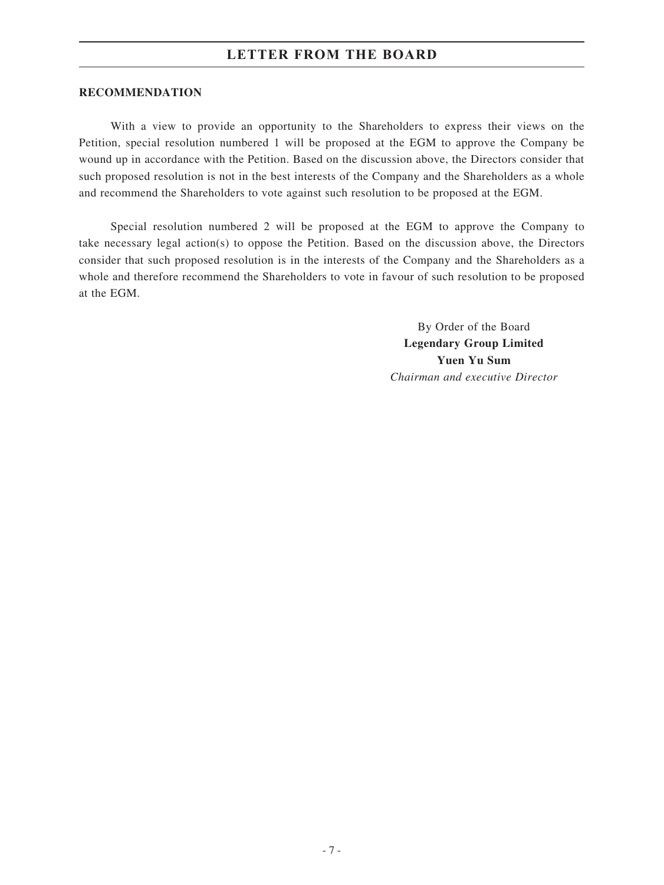#### **RECOMMENDATION**

With a view to provide an opportunity to the Shareholders to express their views on the Petition, special resolution numbered 1 will be proposed at the EGM to approve the Company be wound up in accordance with the Petition. Based on the discussion above, the Directors consider that such proposed resolution is not in the best interests of the Company and the Shareholders as a whole and recommend the Shareholders to vote against such resolution to be proposed at the EGM.

Special resolution numbered 2 will be proposed at the EGM to approve the Company to take necessary legal action(s) to oppose the Petition. Based on the discussion above, the Directors consider that such proposed resolution is in the interests of the Company and the Shareholders as a whole and therefore recommend the Shareholders to vote in favour of such resolution to be proposed at the EGM.

> By Order of the Board **Legendary Group Limited Yuen Yu Sum** *Chairman and executive Director*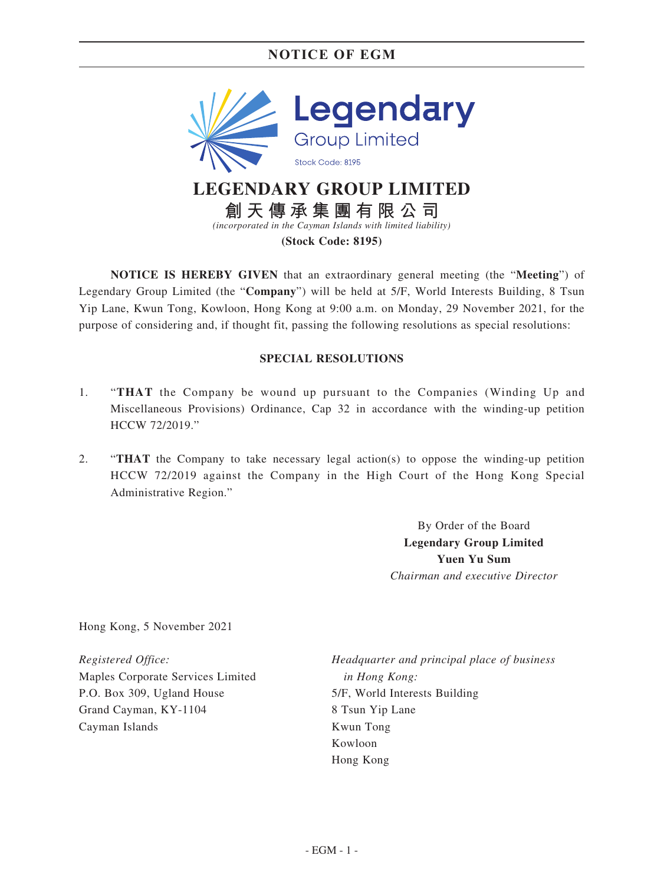### **NOTICE OF EGM**



**(Stock Code: 8195)**

**NOTICE IS HEREBY GIVEN** that an extraordinary general meeting (the "**Meeting**") of Legendary Group Limited (the "**Company**") will be held at 5/F, World Interests Building, 8 Tsun Yip Lane, Kwun Tong, Kowloon, Hong Kong at 9:00 a.m. on Monday, 29 November 2021, for the purpose of considering and, if thought fit, passing the following resolutions as special resolutions:

#### **SPECIAL RESOLUTIONS**

- 1. "**THAT** the Company be wound up pursuant to the Companies (Winding Up and Miscellaneous Provisions) Ordinance, Cap 32 in accordance with the winding-up petition HCCW 72/2019."
- 2. "**THAT** the Company to take necessary legal action(s) to oppose the winding-up petition HCCW 72/2019 against the Company in the High Court of the Hong Kong Special Administrative Region."

By Order of the Board **Legendary Group Limited Yuen Yu Sum** *Chairman and executive Director*

Hong Kong, 5 November 2021

*Registered Office:* Maples Corporate Services Limited P.O. Box 309, Ugland House Grand Cayman, KY-1104 Cayman Islands

*Headquarter and principal place of business in Hong Kong:* 5/F, World Interests Building 8 Tsun Yip Lane Kwun Tong Kowloon Hong Kong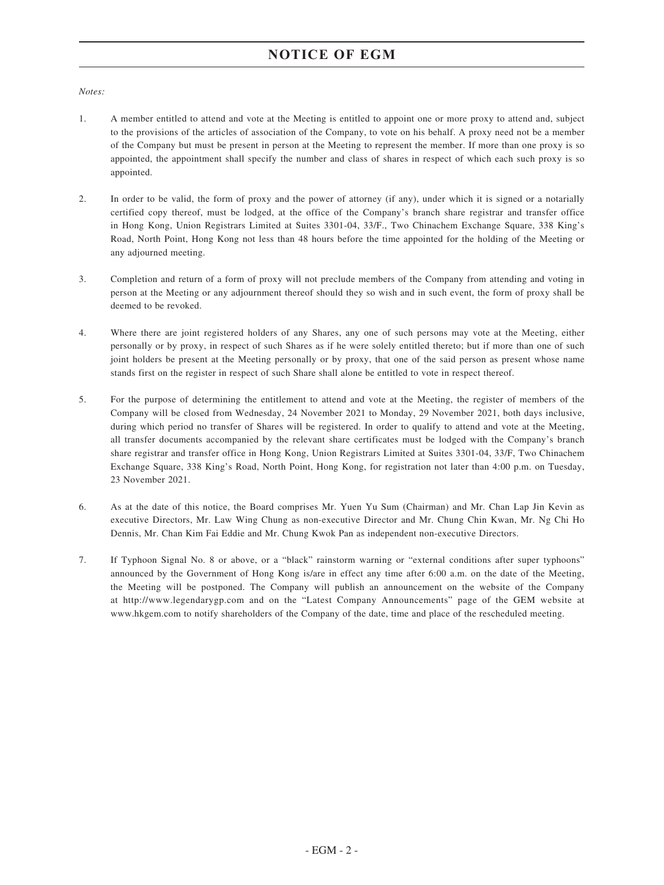### **NOTICE OF EGM**

#### *Notes:*

- 1. A member entitled to attend and vote at the Meeting is entitled to appoint one or more proxy to attend and, subject to the provisions of the articles of association of the Company, to vote on his behalf. A proxy need not be a member of the Company but must be present in person at the Meeting to represent the member. If more than one proxy is so appointed, the appointment shall specify the number and class of shares in respect of which each such proxy is so appointed.
- 2. In order to be valid, the form of proxy and the power of attorney (if any), under which it is signed or a notarially certified copy thereof, must be lodged, at the office of the Company's branch share registrar and transfer office in Hong Kong, Union Registrars Limited at Suites 3301-04, 33/F., Two Chinachem Exchange Square, 338 King's Road, North Point, Hong Kong not less than 48 hours before the time appointed for the holding of the Meeting or any adjourned meeting.
- 3. Completion and return of a form of proxy will not preclude members of the Company from attending and voting in person at the Meeting or any adjournment thereof should they so wish and in such event, the form of proxy shall be deemed to be revoked.
- 4. Where there are joint registered holders of any Shares, any one of such persons may vote at the Meeting, either personally or by proxy, in respect of such Shares as if he were solely entitled thereto; but if more than one of such joint holders be present at the Meeting personally or by proxy, that one of the said person as present whose name stands first on the register in respect of such Share shall alone be entitled to vote in respect thereof.
- 5. For the purpose of determining the entitlement to attend and vote at the Meeting, the register of members of the Company will be closed from Wednesday, 24 November 2021 to Monday, 29 November 2021, both days inclusive, during which period no transfer of Shares will be registered. In order to qualify to attend and vote at the Meeting, all transfer documents accompanied by the relevant share certificates must be lodged with the Company's branch share registrar and transfer office in Hong Kong, Union Registrars Limited at Suites 3301-04, 33/F, Two Chinachem Exchange Square, 338 King's Road, North Point, Hong Kong, for registration not later than 4:00 p.m. on Tuesday, 23 November 2021.
- 6. As at the date of this notice, the Board comprises Mr. Yuen Yu Sum (Chairman) and Mr. Chan Lap Jin Kevin as executive Directors, Mr. Law Wing Chung as non-executive Director and Mr. Chung Chin Kwan, Mr. Ng Chi Ho Dennis, Mr. Chan Kim Fai Eddie and Mr. Chung Kwok Pan as independent non-executive Directors.
- 7. If Typhoon Signal No. 8 or above, or a "black" rainstorm warning or "external conditions after super typhoons" announced by the Government of Hong Kong is/are in effect any time after 6:00 a.m. on the date of the Meeting, the Meeting will be postponed. The Company will publish an announcement on the website of the Company at http://www.legendarygp.com and on the "Latest Company Announcements" page of the GEM website at www.hkgem.com to notify shareholders of the Company of the date, time and place of the rescheduled meeting.